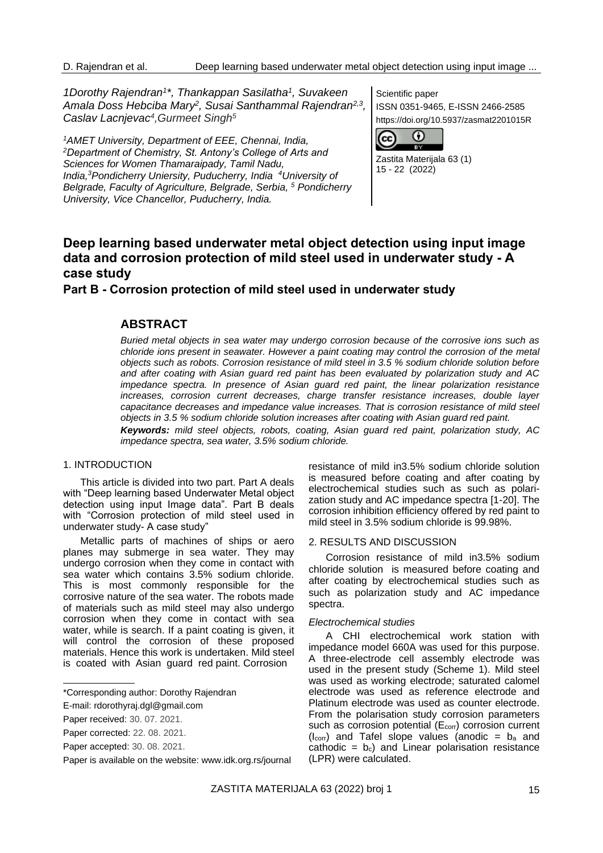*1Dorothy Rajendran<sup>1</sup> \*, Thankappan Sasilatha<sup>1</sup> , Suvakeen Amala Doss Hebciba Mary<sup>2</sup> , Susai Santhammal Rajendran2,3 , Caslav Lacnjevac<sup>4</sup> ,Gurmeet Singh<sup>5</sup>*

*<sup>1</sup>AMET University, Department of EEE, Chennai, India, <sup>2</sup>Department of Chemistry, St. Antony's College of Arts and Sciences for Women Thamaraipady, Tamil Nadu, India,<sup>3</sup>Pondicherry Uniersity, Puducherry, India <sup>4</sup>University of Belgrade, Faculty of Agriculture, Belgrade, Serbia, <sup>5</sup> Pondicherry University, Vice Chancellor, Puducherry, India.*

Scientific paper ISSN 0351-9465, E-ISSN 2466-2585 https://doi.org/10.5937/zasmat2201015R



Zastita Materijala 63 (1) 15 - 22 (2022)

# **Deep learning based underwater metal object detection using input image data and corrosion protection of mild steel used in underwater study - A case study**

**Part B - Corrosion protection of mild steel used in underwater study**

## **ABSTRACT**

*Buried metal objects in sea water may undergo corrosion because of the corrosive ions such as chloride ions present in seawater. However a paint coating may control the corrosion of the metal objects such as robots. Corrosion resistance of mild steel in 3.5 % sodium chloride solution before and after coating with Asian guard red paint has been evaluated by polarization study and AC impedance spectra. In presence of Asian guard red paint, the linear polarization resistance increases, corrosion current decreases, charge transfer resistance increases, double layer capacitance decreases and impedance value increases. That is corrosion resistance of mild steel objects in 3.5 % sodium chloride solution increases after coating with Asian guard red paint. Keywords: mild steel objects, robots, coating, Asian guard red paint, polarization study, AC impedance spectra, sea water, 3.5% sodium chloride.*

### 1. INTRODUCTION

This article is divided into two part. Part A deals with "Deep learning based Underwater Metal object detection using input Image data". Part B deals with "Corrosion protection of mild steel used in underwater study- A case study"

Metallic parts of machines of ships or aero planes may submerge in sea water. They may undergo corrosion when they come in contact with sea water which contains 3.5% sodium chloride. This is most commonly responsible for the corrosive nature of the sea water. The robots made of materials such as mild steel may also undergo corrosion when they come in contact with sea water, while is search. If a paint coating is given, it will control the corrosion of these proposed materials. Hence this work is undertaken. Mild steel is coated with Asian guard red paint. Corrosion

resistance of mild in3.5% sodium chloride solution is measured before coating and after coating by electrochemical studies such as such as polarization study and AC impedance spectra [1-20]. The corrosion inhibition efficiency offered by red paint to mild steel in 3.5% sodium chloride is 99.98%.

#### 2. RESULTS AND DISCUSSION

Corrosion resistance of mild in3.5% sodium chloride solution is measured before coating and after coating by electrochemical studies such as such as polarization study and AC impedance spectra.

#### *Electrochemical studies*

A CHI electrochemical work station with impedance model 660A was used for this purpose. A three-electrode cell assembly electrode was used in the present study (Scheme 1). Mild steel was used as working electrode; saturated calomel electrode was used as reference electrode and Platinum electrode was used as counter electrode. From the polarisation study corrosion parameters such as corrosion potential (E<sub>corr</sub>) corrosion current  $(l_{corr})$  and Tafel slope values (anodic =  $b_a$  and cathodic =  $b_c$ ) and Linear polarisation resistance (LPR) were calculated.

<sup>\*</sup>Corresponding author: Dorothy Rajendran

E-mail: rdorothyraj.dgl@gmail.com

Paper received: 30. 07. 2021.

Paper corrected: 22. 08. 2021.

Paper accepted: 30. 08. 2021.

Paper is available on the website: [www.idk.org.rs/journal](http://www.idk.org.rs/journal)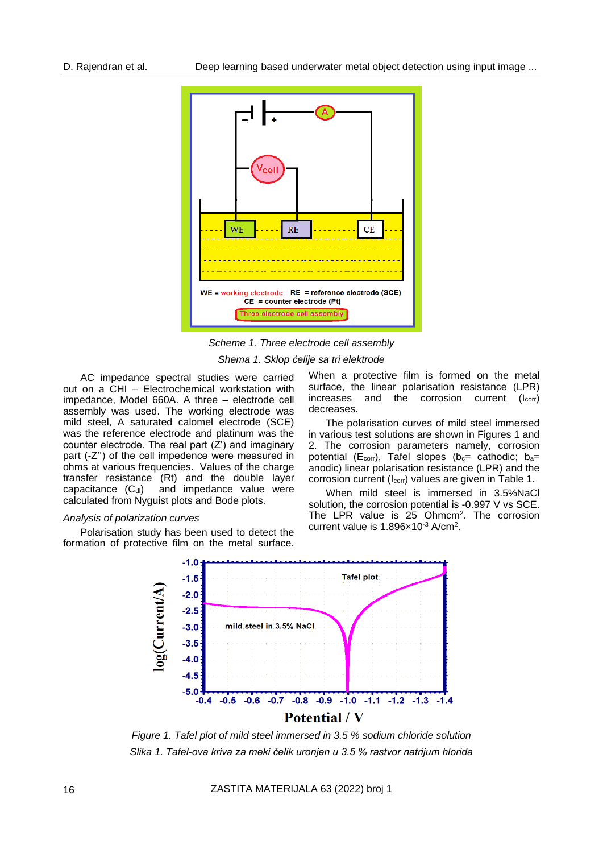

*Scheme 1. Three electrode cell assembly*

*Shema 1. Sklop ćelije sa tri elektrode*

AC impedance spectral studies were carried out on a CHI – Electrochemical workstation with impedance, Model 660A. A three – electrode cell assembly was used. The working electrode was mild steel, A saturated calomel electrode (SCE) was the reference electrode and platinum was the counter electrode. The real part (Z') and imaginary part (-Z'') of the cell impedence were measured in ohms at various frequencies. Values of the charge transfer resistance (Rt) and the double layer capacitance  $(C_{\text{dl}})$  and impedance value were calculated from Nyguist plots and Bode plots.

#### *Analysis of polarization curves*

Polarisation study has been used to detect the formation of protective film on the metal surface. When a protective film is formed on the metal surface, the linear polarisation resistance (LPR) increases and the corrosion current  $(l_{\text{corr}})$ decreases.

The polarisation curves of mild steel immersed in various test solutions are shown in Figures 1 and 2. The corrosion parameters namely, corrosion potential ( $E_{corr}$ ), Tafel slopes ( $b_c$ = cathodic;  $b_a$ = anodic) linear polarisation resistance (LPR) and the corrosion current (I<sub>corr</sub>) values are given in Table 1.

When mild steel is immersed in 3.5%NaCl solution, the corrosion potential is -0.997 V vs SCE. The LPR value is 25 Ohmcm<sup>2</sup>. The corrosion current value is 1.896×10<sup>-3</sup> A/cm<sup>2</sup>.



*Figure 1. Tafel plot of mild steel immersed in 3.5 % sodium chloride solution Slika 1. Tafel-ova kriva za meki čelik uronjen u 3.5 % rastvor natrijum hlorida*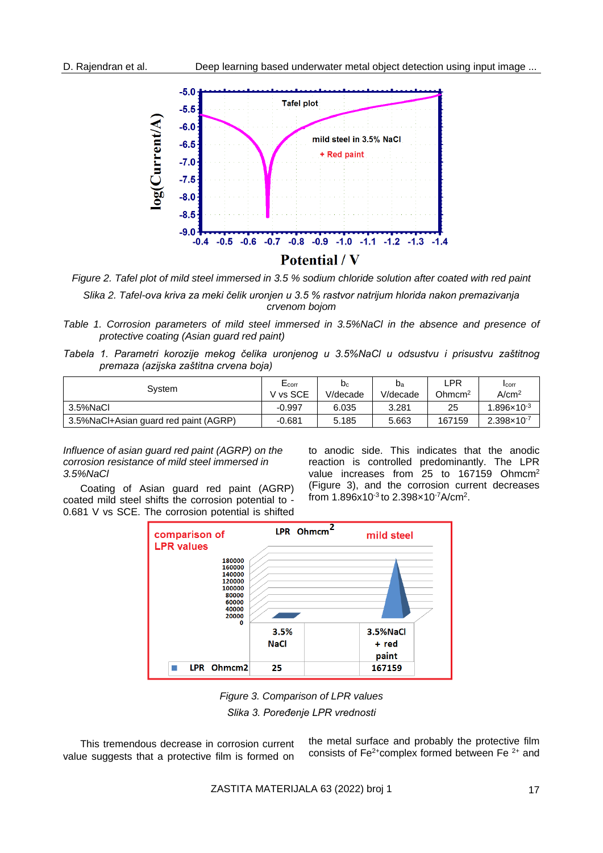

*Figure 2. Tafel plot of mild steel immersed in 3.5 % sodium chloride solution after coated with red paint Slika 2. Tafel-ova kriva za meki čelik uronjen u 3.5 % rastvor natrijum hlorida nakon premazivanja crvenom bojom*

- *Table 1. Corrosion parameters of mild steel immersed in 3.5%NaCl in the absence and presence of protective coating (Asian guard red paint)*
- *Tabela 1. Parametri korozije mekog čelika uronjenog u 3.5%NaCl u odsustvu i prisustvu zaštitnog premaza (azijska zaštitna crvena boja)*

| Svstem                                 | E <sub>corr</sub> | $b_c$    | $b_a$    | LPR                | <b>I</b> corr          |
|----------------------------------------|-------------------|----------|----------|--------------------|------------------------|
|                                        | V vs SCE          | V/decade | V/decade | Ohmcm <sup>2</sup> | A/cm <sup>2</sup>      |
| 3.5%NaCl                               | -0.997            | 6.035    | 3.281    | 25                 | $1.896 \times 10^{-3}$ |
| 3.5% NaCl+Asian guard red paint (AGRP) | -0.681            | 5.185    | 5.663    | 167159             | $2.398 \times 10^{-7}$ |

*Influence of asian guard red paint (AGRP) on the corrosion resistance of mild steel immersed in 3.5%NaCl*

Coating of Asian guard red paint (AGRP) coated mild steel shifts the corrosion potential to - 0.681 V vs SCE. The corrosion potential is shifted to anodic side. This indicates that the anodic reaction is controlled predominantly. The LPR value increases from 25 to 167159 Ohmcm<sup>2</sup> (Figure 3), and the corrosion current decreases from  $1.896x10^{-3}$  to  $2.398x10^{-7}$ A/cm<sup>2</sup>.



*Figure 3. Comparison of LPR values Slika 3. Poređenje LPR vrednosti*

This tremendous decrease in corrosion current value suggests that a protective film is formed on

the metal surface and probably the protective film consists of  $Fe^{2+}$ complex formed between Fe $2+$  and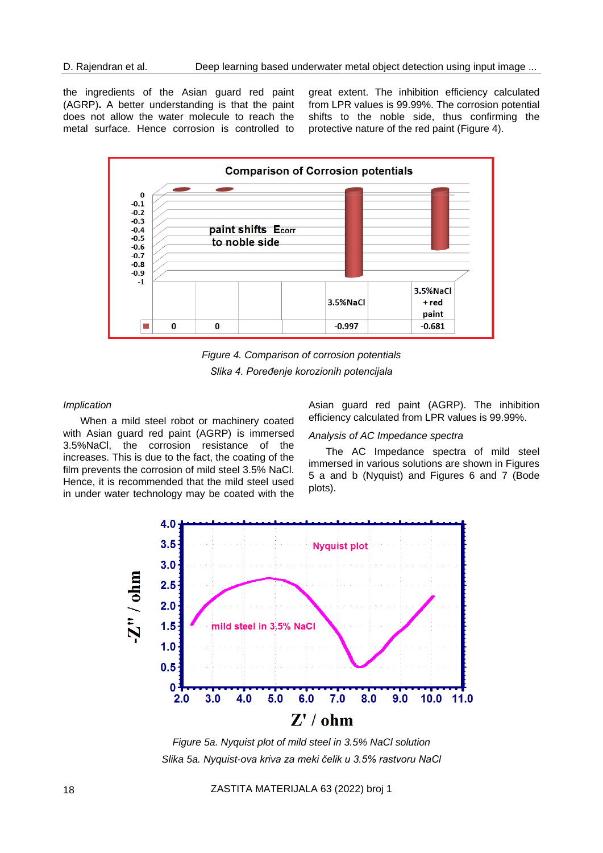the ingredients of the Asian guard red paint (AGRP)**.** A better understanding is that the paint does not allow the water molecule to reach the metal surface. Hence corrosion is controlled to great extent. The inhibition efficiency calculated from LPR values is 99.99%. The corrosion potential shifts to the noble side, thus confirming the protective nature of the red paint (Figure 4).



*Figure 4. Comparison of corrosion potentials Slika 4. Poređenje korozionih potencijala*

#### *Implication*

When a mild steel robot or machinery coated with Asian guard red paint (AGRP) is immersed 3.5%NaCl, the corrosion resistance of the increases. This is due to the fact, the coating of the film prevents the corrosion of mild steel 3.5% NaCl. Hence, it is recommended that the mild steel used in under water technology may be coated with the

Asian guard red paint (AGRP). The inhibition efficiency calculated from LPR values is 99.99%.

#### *Analysis of AC Impedance spectra*

The AC Impedance spectra of mild steel immersed in various solutions are shown in Figures 5 a and b (Nyquist) and Figures 6 and 7 (Bode plots).



*Figure 5a. Nyquist plot of mild steel in 3.5% NaCl solution Slika 5a. Nyquist-ova kriva za meki čelik u 3.5% rastvoru NaCl*

18 ZASTITA MATERIJALA 63 (2022) broj 1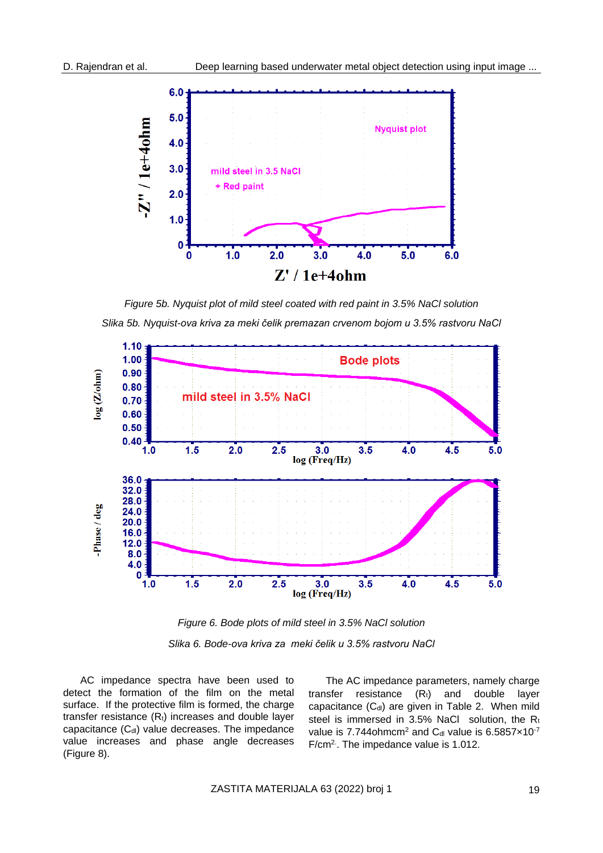

*Figure 5b. Nyquist plot of mild steel coated with red paint in 3.5% NaCl solution Slika 5b. Nyquist-ova kriva za meki čelik premazan crvenom bojom u 3.5% rastvoru NaCl*



*Figure 6. Bode plots of mild steel in 3.5% NaCl solution Slika 6. Bode-ova kriva za meki čelik u 3.5% rastvoru NaCl*

AC impedance spectra have been used to detect the formation of the film on the metal surface. If the protective film is formed, the charge transfer resistance  $(R<sub>t</sub>)$  increases and double layer capacitance  $(C_{dl})$  value decreases. The impedance value increases and phase angle decreases (Figure 8).

The AC impedance parameters, namely charge transfer resistance  $(R_t)$  and double layer capacitance  $(C_{dl})$  are given in Table 2. When mild steel is immersed in 3.5% NaCl solution, the  $R_t$ value is 7.744 $ohmcm<sup>2</sup>$  and C<sub>dl</sub> value is 6.5857 $\times$ 10<sup>-7</sup> F/cm<sup>2</sup>. The impedance value is 1.012.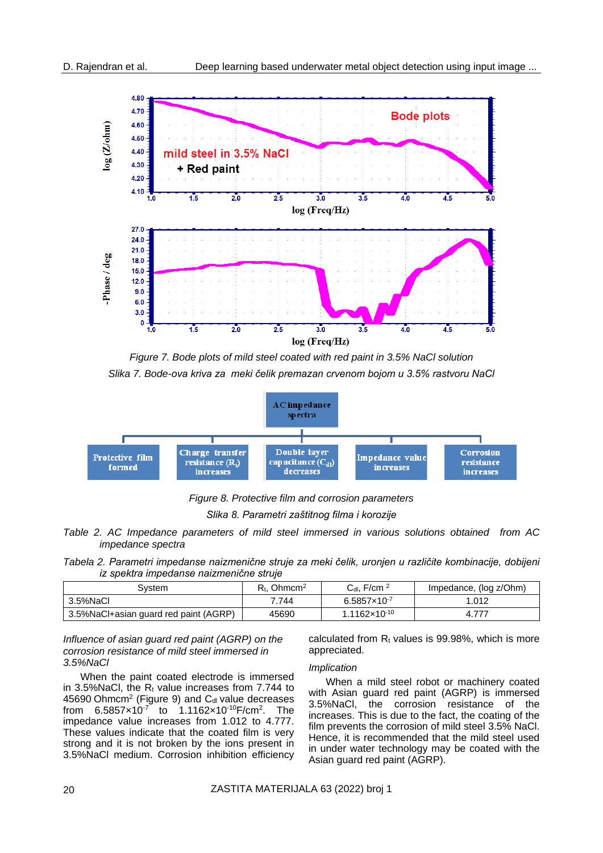

*Figure 7. Bode plots of mild steel coated with red paint in 3.5% NaCl solution Slika 7. Bode-ova kriva za meki čelik premazan crvenom bojom u 3.5% rastvoru NaCl*



*Figure 8. Protective film and corrosion parameters*

*Slika 8. Parametri zaštitnog filma i korozije*

- *Table 2. AC Impedance parameters of mild steel immersed in various solutions obtained from AC impedance spectra*
- *Tabela 2. Parametri impedanse naizmenične struje za meki čelik, uronjen u različite kombinacije, dobijeni iz spektra impedanse naizmenične struje*

| System                                 | $R_{\rm t}$ . Ohmcm <sup>2</sup> | $C_{dl}$ , F/cm $^2$     | Impedance, (log z/Ohm) |
|----------------------------------------|----------------------------------|--------------------------|------------------------|
| 3.5%NaCl                               | 7.744                            | $6.5857 \times 10^{-7}$  | 1.012                  |
| 3.5% NaCl+asian guard red paint (AGRP) | 45690                            | $1.1162 \times 10^{-10}$ | 4.11                   |

*Influence of asian guard red paint (AGRP) on the corrosion resistance of mild steel immersed in 3.5%NaCl*

When the paint coated electrode is immersed in 3.5% NaCl, the  $R_t$  value increases from 7.744 to  $45690$  Ohmcm<sup>2</sup> (Figure 9) and C<sub>dl</sub> value decreases from 6.5857×10-7 to 1.1162×10-10F/cm<sup>2</sup> . The impedance value increases from 1.012 to 4.777. These values indicate that the coated film is very strong and it is not broken by the ions present in 3.5%NaCl medium. Corrosion inhibition efficiency

calculated from  $R_t$  values is 99.98%, which is more appreciated.

#### *Implication*

When a mild steel robot or machinery coated with Asian guard red paint (AGRP) is immersed 3.5%NaCl, the corrosion resistance of the increases. This is due to the fact, the coating of the film prevents the corrosion of mild steel 3.5% NaCl. Hence, it is recommended that the mild steel used in under water technology may be coated with the Asian guard red paint (AGRP).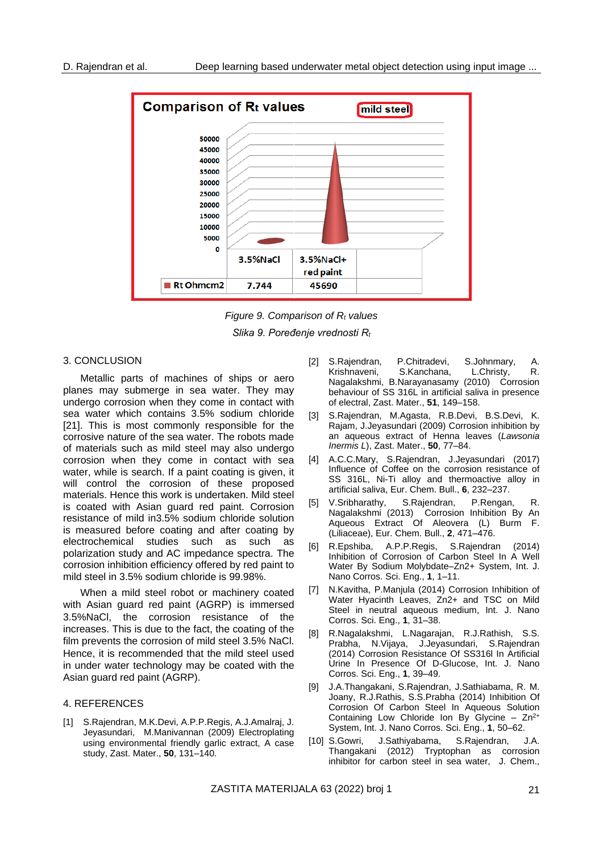

*Figure 9. Comparison of R<sup>t</sup> values Slika 9. Poređenje vrednosti R<sup>t</sup>*

#### 3. CONCLUSION

Metallic parts of machines of ships or aero planes may submerge in sea water. They may undergo corrosion when they come in contact with sea water which contains 3.5% sodium chloride [21]. This is most commonly responsible for the corrosive nature of the sea water. The robots made of materials such as mild steel may also undergo corrosion when they come in contact with sea water, while is search. If a paint coating is given, it will control the corrosion of these proposed materials. Hence this work is undertaken. Mild steel is coated with Asian guard red paint. Corrosion resistance of mild in3.5% sodium chloride solution is measured before coating and after coating by electrochemical studies such as such as polarization study and AC impedance spectra. The corrosion inhibition efficiency offered by red paint to mild steel in 3.5% sodium chloride is 99.98%.

When a mild steel robot or machinery coated with Asian guard red paint (AGRP) is immersed 3.5%NaCl, the corrosion resistance of the increases. This is due to the fact, the coating of the film prevents the corrosion of mild steel 3.5% NaCl. Hence, it is recommended that the mild steel used in under water technology may be coated with the Asian guard red paint (AGRP).

#### 4. REFERENCES

[1] S.Rajendran, M.K.Devi, A.P.P.Regis, A.J.Amalraj, J. Jeyasundari, M.Manivannan (2009) Electroplating using environmental friendly garlic extract, A case study, Zast. Mater., **50**, 131–140.

- [2] S.Rajendran, P.Chitradevi, S.Johnmary, A. Krishnaveni, S.Kanchana, L.Christy, R. Nagalakshmi, B.Narayanasamy (2010) Corrosion behaviour of SS 316L in artificial saliva in presence of electral, Zast. Mater., **51**, 149–158.
- [3] S.Rajendran, M.Agasta, R.B.Devi, B.S.Devi, K. Rajam, J.Jeyasundari (2009) Corrosion inhibition by an aqueous extract of Henna leaves (*Lawsonia Inermis L*), Zast. Mater., **50**, 77–84.
- [4] A.C.C.Mary, S.Rajendran, J.Jeyasundari (2017) Influence of Coffee on the corrosion resistance of SS 316L, Ni-Ti alloy and thermoactive alloy in artificial saliva, Eur. Chem. Bull., **6**, 232–237.
- [5] V.Sribharathy, S.Rajendran, P.Rengan, R. Nagalakshmi (2013) Corrosion Inhibition By An Aqueous Extract Of Aleovera (L) Burm F. (Liliaceae), Eur. Chem. Bull., **2**, 471–476.
- [6] R.Epshiba, A.P.P.Regis, S.Rajendran (2014) Inhibition of Corrosion of Carbon Steel In A Well Water By Sodium Molybdate–Zn2+ System, Int. J. Nano Corros. Sci. Eng., **1**, 1–11.
- [7] N.Kavitha, P.Manjula (2014) Corrosion Inhibition of Water Hyacinth Leaves, Zn2+ and TSC on Mild Steel in neutral aqueous medium, Int. J. Nano Corros. Sci. Eng., **1**, 31–38.
- [8] R.Nagalakshmi, L.Nagarajan, R.J.Rathish, S.S. Prabha, N.Vijaya, J.Jeyasundari, S.Rajendran (2014) Corrosion Resistance Of SS316l In Artificial Urine In Presence Of D-Glucose, Int. J. Nano Corros. Sci. Eng., **1**, 39–49.
- [9] J.A.Thangakani, S.Rajendran, J.Sathiabama, R. M. Joany, R.J.Rathis, S.S.Prabha (2014) Inhibition Of Corrosion Of Carbon Steel In Aqueous Solution Containing Low Chloride Ion By Glycine -  $Zn^{2+}$ System, Int. J. Nano Corros. Sci. Eng., **1**, 50–62.
- [10] S.Gowri, J.Sathiyabama, S.Rajendran, J.A. Thangakani (2012) Tryptophan as corrosion inhibitor for carbon steel in sea water, J. Chem.,